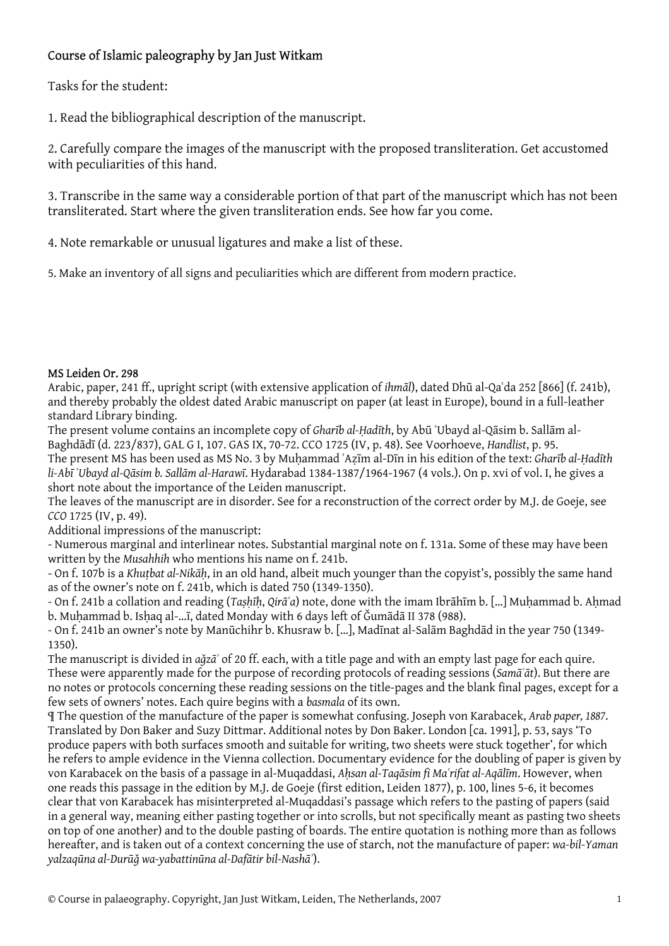## Course of Islamic paleography by Jan Just Witkam

Tasks for the student:

1. Read the bibliographical description of the manuscript.

2. Carefully compare the images of the manuscript with the proposed transliteration. Get accustomed with peculiarities of this hand.

3. Transcribe in the same way a considerable portion of that part of the manuscript which has not been transliterated. Start where the given transliteration ends. See how far you come.

4. Note remarkable or unusual ligatures and make a list of these.

5. Make an inventory of all signs and peculiarities which are different from modern practice.

## MS Leiden Or. 298

Arabic, paper, 241 ff., upright script (with extensive application of *ihmāl*), dated Dhū al-Qaʿda 252 [866] (f. 241b), and thereby probably the oldest dated Arabic manuscript on paper (at least in Europe), bound in a full-leather standard Library binding.

The present volume contains an incomplete copy of *Gharīb al-Ḥadīth*, by Abū ʿUbayd al-Qāsim b. Sallām al-Baghdādī (d. 223/837), GAL G I, 107. GAS IX, 70-72. CCO 1725 (IV, p. 48). See Voorhoeve, *Handlist*, p. 95.

The present MS has been used as MS No. 3 by Muḥammad ʿAẓīm al-Dīn in his edition of the text: *Gharīb al-Ḥadīth li-Abī ʿUbayd al-Qāsim b. Sallām al-Harawī*. Hydarabad 1384-1387/1964-1967 (4 vols.). On p. xvi of vol. I, he gives a short note about the importance of the Leiden manuscript.

The leaves of the manuscript are in disorder. See for a reconstruction of the correct order by M.J. de Goeje, see *CCO* 1725 (IV, p. 49).

Additional impressions of the manuscript:

- Numerous marginal and interlinear notes. Substantial marginal note on f. 131a. Some of these may have been written by the *Musahhih* who mentions his name on f. 241b.

- On f. 107b is a *Khuṭbat al-Nikāḥ*, in an old hand, albeit much younger than the copyist's, possibly the same hand as of the owner's note on f. 241b, which is dated 750 (1349-1350).

- On f. 241b a collation and reading (*Taṣḥīḥ*, *Qirāʾa*) note, done with the imam Ibrāhīm b. […] Muḥammad b. Aḥmad b. Muḥammad b. Isḥaq al-…ī, dated Monday with 6 days left of Ǧumādā II 378 (988).

- On f. 241b an owner's note by Manūchihr b. Khusraw b. […], Madīnat al-Salām Baghdād in the year 750 (1349- 1350).

The manuscript is divided in *aǧzāʾ* of 20 ff. each, with a title page and with an empty last page for each quire. These were apparently made for the purpose of recording protocols of reading sessions (*Samāʿāt*). But there are no notes or protocols concerning these reading sessions on the title-pages and the blank final pages, except for a few sets of owners' notes. Each quire begins with a *basmala* of its own.

¶ The question of the manufacture of the paper is somewhat confusing. Joseph von Karabacek, *Arab paper, 1887*. Translated by Don Baker and Suzy Dittmar. Additional notes by Don Baker. London [ca. 1991], p. 53, says 'To produce papers with both surfaces smooth and suitable for writing, two sheets were stuck together', for which he refers to ample evidence in the Vienna collection. Documentary evidence for the doubling of paper is given by von Karabacek on the basis of a passage in al-Muqaddasi, *Aḥsan al-Taqāsim fi Maʿrifat al-Aqālīm*. However, when one reads this passage in the edition by M.J. de Goeje (first edition, Leiden 1877), p. 100, lines 5-6, it becomes clear that von Karabacek has misinterpreted al-Muqaddasi's passage which refers to the pasting of papers (said in a general way, meaning either pasting together or into scrolls, but not specifically meant as pasting two sheets on top of one another) and to the double pasting of boards. The entire quotation is nothing more than as follows hereafter, and is taken out of a context concerning the use of starch, not the manufacture of paper: *wa-bil-Yaman yalzaqūna al-Durūǧ wa-yabattinūna al-Dafātir bil-Nashāʾ*).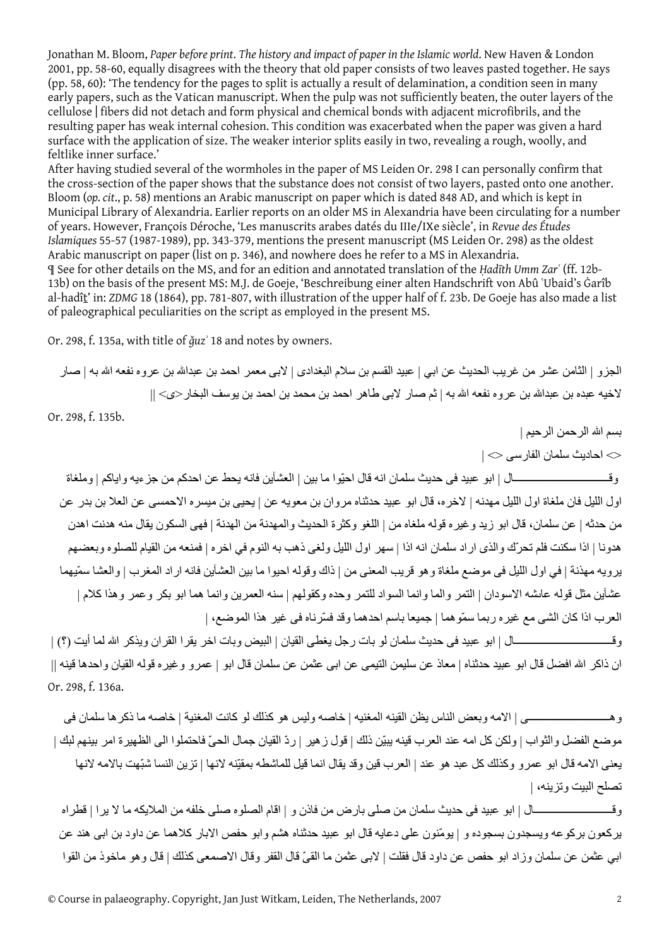Jonathan M. Bloom, *Paper before print*. *The history and impact of paper in the Islamic world*. New Haven & London 2001, pp. 58-60, equally disagrees with the theory that old paper consists of two leaves pasted together. He says (pp. 58, 60): 'The tendency for the pages to split is actually a result of delamination, a condition seen in many early papers, such as the Vatican manuscript. When the pulp was not sufficiently beaten, the outer layers of the cellulose | fibers did not detach and form physical and chemical bonds with adjacent microfibrils, and the resulting paper has weak internal cohesion. This condition was exacerbated when the paper was given a hard surface with the application of size. The weaker interior splits easily in two, revealing a rough, woolly, and feltlike inner surface.'

After having studied several of the wormholes in the paper of MS Leiden Or. 298 I can personally confirm that the cross-section of the paper shows that the substance does not consist of two layers, pasted onto one another. Bloom (*op. cit*., p. 58) mentions an Arabic manuscript on paper which is dated 848 AD, and which is kept in Municipal Library of Alexandria. Earlier reports on an older MS in Alexandria have been circulating for a number of years. However, François Déroche, 'Les manuscrits arabes datés du IIIe/IXe siècle', in *Revue des Études Islamiques* 55-57 (1987-1989), pp. 343-379, mentions the present manuscript (MS Leiden Or. 298) as the oldest Arabic manuscript on paper (list on p. 346), and nowhere does he refer to a MS in Alexandria. ¶ See for other details on the MS, and for an edition and annotated translation of the *Ḥadīth Umm Zarʿ* (ff. 12b-13b) on the basis of the present MS: M.J. de Goeje, 'Beschreibung einer alten Handschrift von Abû ʿUbaid's Ġarîb al-hadît' in: *ZDMG* 18 (1864), pp. 781-807, with illustration of the upper half of f. 23b. De Goeje has also made a list of paleographical peculiarities on the script as employed in the present MS.

Or. 298, f. 135a, with title of *ǧuzʾ* 18 and notes by owners.

الجزو | الثامن عشر من غريب الحديث عن ابي | عبيد القسم بن سلام البغدادى | لابى معمر احمد بن عبداالله بن عروه نفعه االله به | صار لاخيه عبده بن عبداالله بن عروه نفعه االله به | ثم صار لابى طاهر احمد بن محمد بن احمد بن يوسف البخار<ى> ||

Or. 298, f. 135b.

بسم االله الرحمن الرحيم |

 $| \diamondsuit$ احادیث سلمان الفارسی  $>$ 

وقــــــــــــــــــــــــــــــــــال | ابو عبيد فى حديث سلمان انه قال احيّوا ما بين | العشآين فانه يحط عن احدآم من جزءيه واياآم | وملغاة اول الليل فان ملغاة اول الليل مهدنه | لاخره، قال ابو عبيد حدثناه مروان بن معويه عن | يحيى بن ميسره الاحمسى عن العلا بن بدر عن من حدثه | عن سلمان، قال ابو زيد و غير ه قوله ملغاه من | اللغو وكثرة الحديث والمهدنة من الهدنة | فهى السكون يقال منه هدنت اهدن هدونا | اذا سكنت فلم تحرّك والذى اراد سلمان انه اذا | سهر اول الليل ولغى ذهب به النوم في اخره | فمنعه من القيام للصلوه وبعضهم يرويه مهذنة | في اول الليل فى موضع ملغاة وهو قريب المعنى من | ذاك وقوله احيوا ما بين العشآين فانه اراد المغرب | والعشا سمّيهما عشآين مثل قوله عاىشه الاسودان | التمر والما وانما السواد للتمر وحده وكقولهم | سنه العمرين وانما هما ابو بكر وعمر وهذا كلام | العرب اذا كان الشي مع غير ه ر بما سمّو هما | جميعا باسم احدهما وقد فسّر ناه فى غير هذا الموضع، |

وقـــــــــــــــــــــــــــــــــــال | ابو عبيد فى حديث سلمان لو بات رجل يغطى القيان | البيض وبات اخر يقرا القران ويذآر االله لما أيت (؟) | ان ذاكر الله افضل قال ابو عبيد حدثناه | معاذ عن سليمن التيمى عن ابى عثمن عن سلمان قال ابو | عمر و و غير ه قوله القيان واحدها قينه || Or. 298, f. 136a.

وهـــــــــــــــــــــــــــــى | الامه وبعض الناس يظن القينه المغنيه | خاصه وليس هو آذلك لو آانت المغنية | خاصه ما ذآرها سلمان فى موضع الفضل والثواب | ولكن كل امه عند العرب قينه يبيّن ذلك | قول زهير | ردّ القيان جمال الحيّ فاحتملوا الى الظهيرة امر بينهم لبك | يعني الامه قال ابو عمرو وكذلك كل عبد هو عند | العرب قين وقد يقال انما قيل للماشطه بمقيّنه لانها | تزين النسا شبّهت بالامه لانها تصلح البيت وتزينه، |

وقــــــــــــــــــــــــــــال | ابو عبيد فى حديث سلمان من صلى بارض من فاذن و | اقام الصلوه صلى خلفه من الملايكه ما لا يرا | قطراه ير كعون بر كو عه ويسجدون بسجوده و | يومّنون على دعايه قال ابو عبيد حدثناه هشم وابو حفص الابار كلاهما عن داود بن ابى هند عن ابي عثمن عن سلمان وزاد ابو حفص عن داود قال فقلت | لابى عثمن ما القىّ قال القفر وقال الاصمعى آذلك | قال وهو ماخوذ من القوا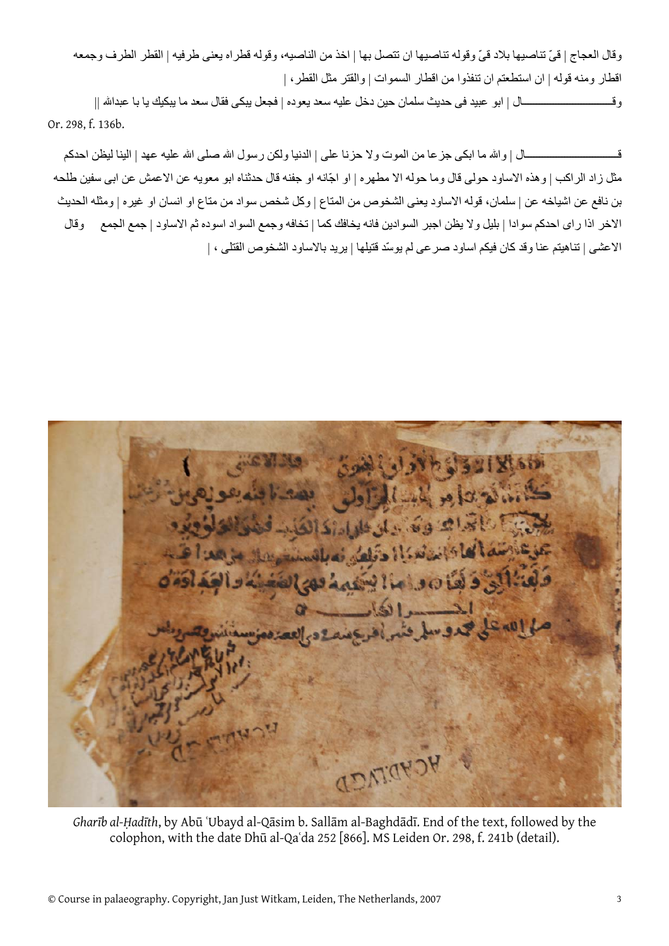وقال العجاج | قىّ تناصيها بلاد قىّ وقوله تناصيها ان تتصل بها | اخذ من الناصيه، وقوله قطراه يعنى طرفيه | القطر الطرف وجمعه اقطار ومنه قوله | ان استطعتم ان تنفذوا من اقطار السموات | والقتر مثل القطر، |

وقــــــــــــــــــــــــــــــــال | ابو عبيد فى حديث سلمان حين دخل عليه سعد يعوده | فجعل يبكى فقال سعد ما يبكيك يا با عبداالله || Or. 298, f. 136b.

قـــــــــــــــــــــــــــــــــال | واالله ما ابكى جزعا من الموت ولا حزنا على | الدنيا ولكن رسول االله صلى االله عليه عهد | الينا ليظن احدآم مثل زاد الراآب | وهذه الاساود حولى قال وما حوله الا مطهره | او اجّانه او جفنه قال حدثناه ابو معويه عن الاعمش عن ابى سفين طلحه بن نافع عن اشياخه عن | سلمان، قوله الاساود يعنى الشخوص من المتاع | وآل شخص سواد من متاع او انسان او غيره | ومثله الحديث الاخر اذا راى احدكم سوادا | بليل ولا يظن اجبر السوادين فانه يخافك كما | تخافه وجمع السواد اسوده ثم الاساود | جمع الجمع وقال الاعشى | تناهيتم عنا وقد كان فيكم اساود صرعى لم يوسّد قتيلها | يريد بالاساود الشخوص القتلى ، |



*Gharīb al-Ḥadīth*, by Abū ʿUbayd al-Qāsim b. Sallām al-Baghdādī. End of the text, followed by the colophon, with the date Dhū al-Qaʿda 252 [866]. MS Leiden Or. 298, f. 241b (detail).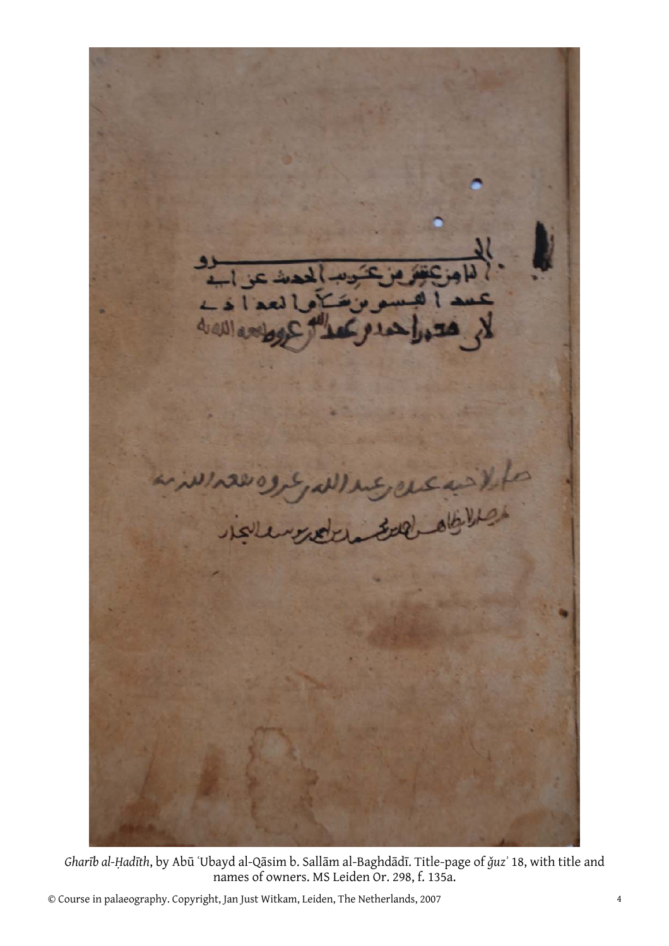

*Gharīb al-Ḥadīth*, by Abū ʿUbayd al-Qāsim b. Sallām al-Baghdādī. Title-page of *ǧuzʾ* 18, with title and names of owners. MS Leiden Or. 298, f. 135a.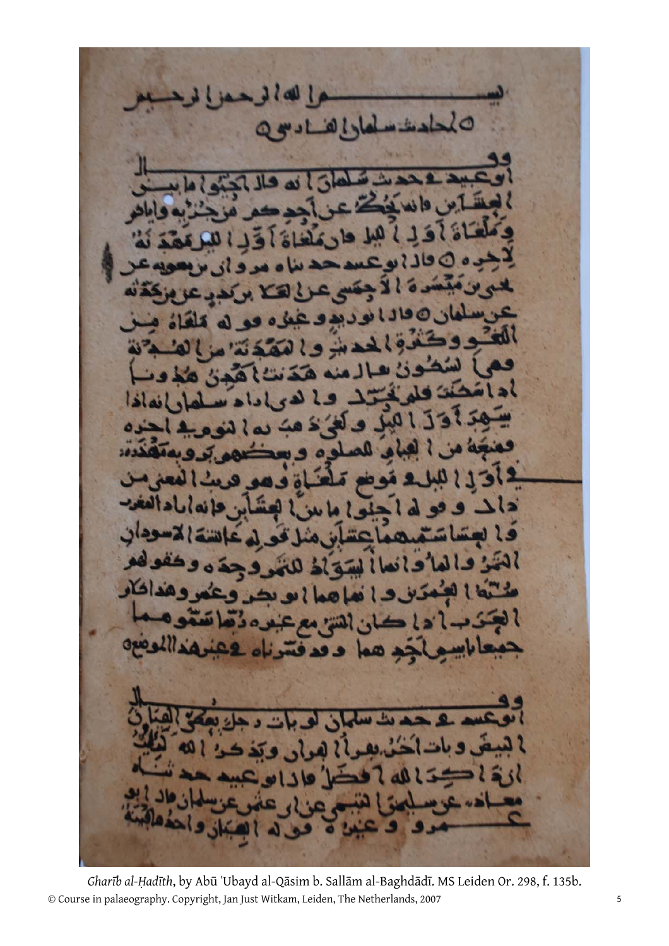LO  $101 \bullet$ r di  $\mathcal{H}$  $\overline{\mathbf{A}}$ Z 1 N G) د قد قسر **SOL** 

© Course in palaeography. Copyright, Jan Just Witkam, Leiden, The Netherlands, 2007 5 *Gharīb al-Ḥadīth*, by Abū ʿUbayd al-Qāsim b. Sallām al-Baghdādī. MS Leiden Or. 298, f. 135b.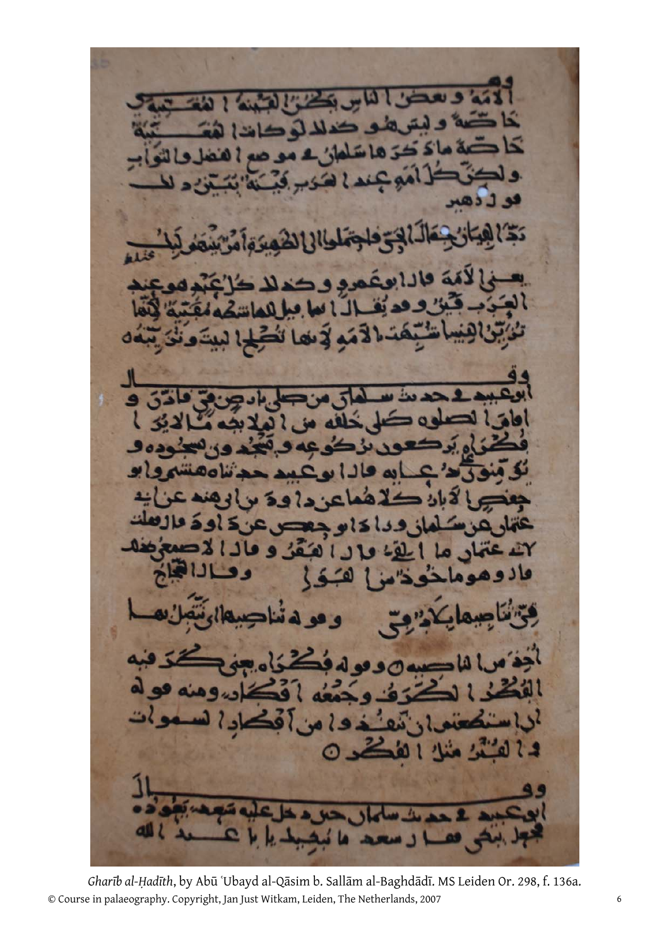$\sim$ ٠ M ه لا نعا ته 1 L.  $-311$ گ و ماد قا د  $\mathbf{S}$  $\sim$ 2  $\overline{\mathbf{A}}$  $\bf{C}$ a

© Course in palaeography. Copyright, Jan Just Witkam, Leiden, The Netherlands, 2007 6 *Gharīb al-Ḥadīth*, by Abū ʿUbayd al-Qāsim b. Sallām al-Baghdādī. MS Leiden Or. 298, f. 136a.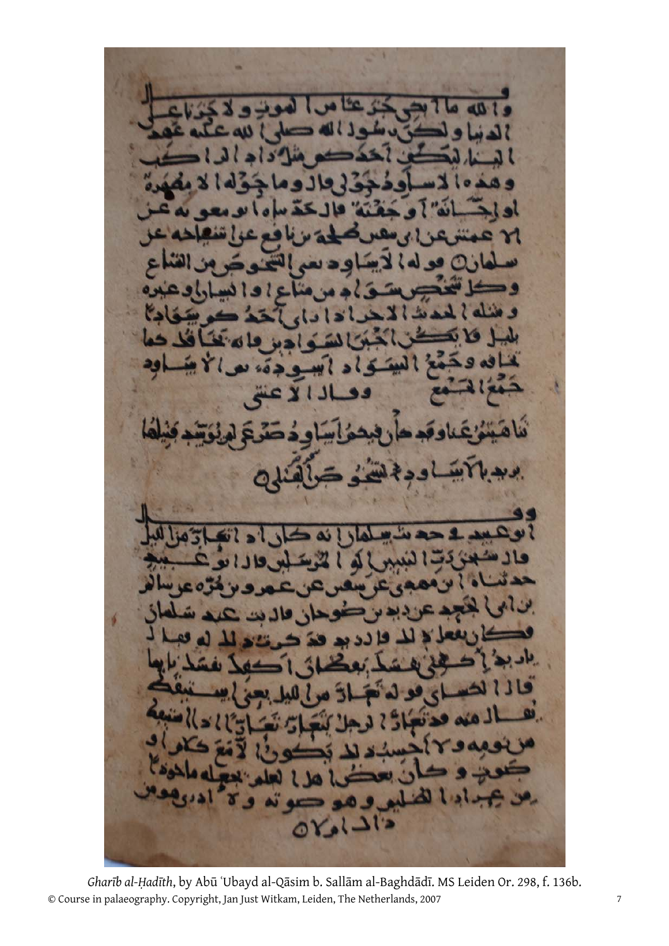G  $OY_{el}$ 

© Course in palaeography. Copyright, Jan Just Witkam, Leiden, The Netherlands, 2007 7 *Gharīb al-Ḥadīth*, by Abū ʿUbayd al-Qāsim b. Sallām al-Baghdādī. MS Leiden Or. 298, f. 136b.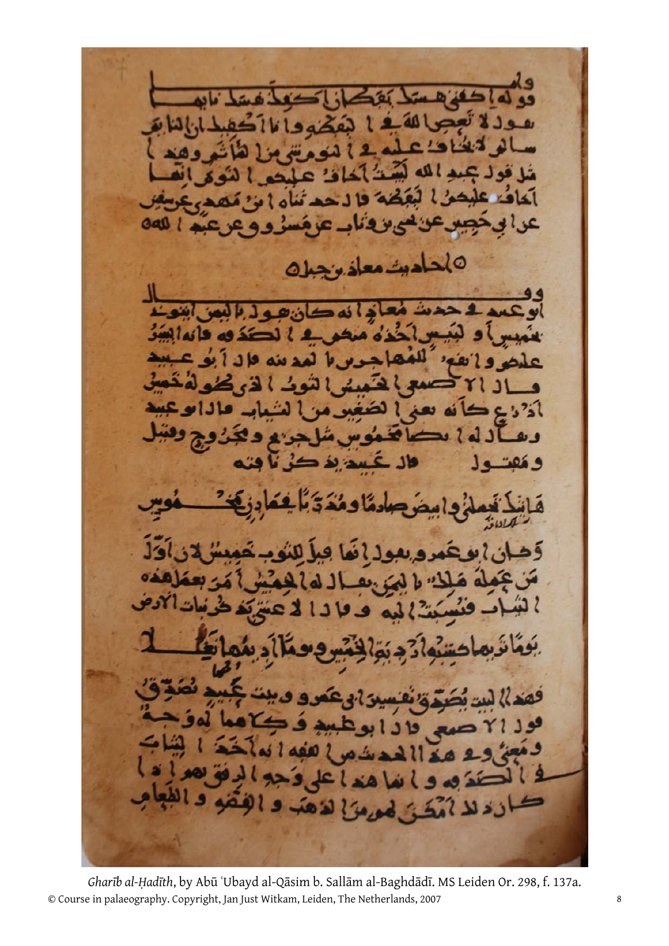a,  $01914$ ته ل كبد الله Lã P.  $-119a$ ۵Ļ عر ب عوا **M** 0)دامت معاذین **وا د**  $2e.85$ A'ss  $29<sub>1</sub>$  $3^{2}$ УY  $2.42$ ß á R عشر **SAS** ي ر 14202  $\triangle$ ا هغا على و. 94 ومنٌ! لذهَبَ و الْإ

© Course in palaeography. Copyright, Jan Just Witkam, Leiden, The Netherlands, 2007 8 *Gharīb al-Ḥadīth*, by Abū ʿUbayd al-Qāsim b. Sallām al-Baghdādī. MS Leiden Or. 298, f. 137a.